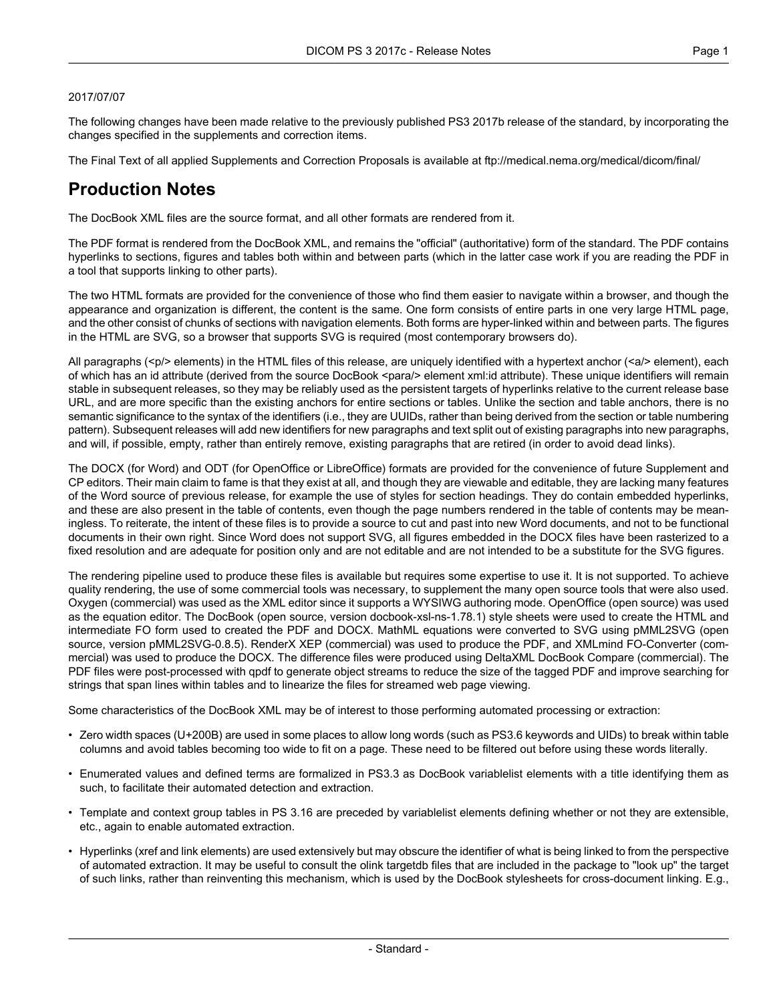#### 2017/07/07

The following changes have been made relative to the previously published PS3 2017b release of the standard, by incorporating the changes specified in the supplements and correction items.

The Final Text of all applied Supplements and Correction Proposals is available at <ftp://medical.nema.org/medical/dicom/final/>

## **Production Notes**

The DocBook XML files are the source format, and all other formats are rendered from it.

The PDF format is rendered from the DocBook XML, and remains the "official" (authoritative) form of the standard. The PDF contains hyperlinks to sections, figures and tables both within and between parts (which in the latter case work if you are reading the PDF in a tool that supports linking to other parts).

The two HTML formats are provided for the convenience of those who find them easier to navigate within a browser, and though the appearance and organization is different, the content is the same. One form consists of entire parts in one very large HTML page, and the other consist of chunks of sections with navigation elements. Both forms are hyper-linked within and between parts. The figures in the HTML are SVG, so a browser that supports SVG is required (most contemporary browsers do).

All paragraphs (<p/> elements) in the HTML files of this release, are uniquely identified with a hypertext anchor (<a/><a/>> element), each of which has an id attribute (derived from the source DocBook <para/> element xml:id attribute). These unique identifiers will remain stable in subsequent releases, so they may be reliably used as the persistent targets of hyperlinks relative to the current release base URL, and are more specific than the existing anchors for entire sections or tables. Unlike the section and table anchors, there is no semantic significance to the syntax of the identifiers (i.e., they are UUIDs, rather than being derived from the section or table numbering pattern). Subsequent releases will add new identifiers for new paragraphs and text split out of existing paragraphs into new paragraphs, and will, if possible, empty, rather than entirely remove, existing paragraphs that are retired (in order to avoid dead links).

The DOCX (for Word) and ODT (for OpenOffice or LibreOffice) formats are provided for the convenience of future Supplement and CP editors. Their main claim to fame is that they exist at all, and though they are viewable and editable, they are lacking many features of the Word source of previous release, for example the use of styles for section headings. They do contain embedded hyperlinks, and these are also present in the table of contents, even though the page numbers rendered in the table of contents may be mean ingless. To reiterate, the intent of these files is to provide a source to cut and past into new Word documents, and not to be functional documents in their own right. Since Word does not support SVG, all figures embedded in the DOCX files have been rasterized to a fixed resolution and are adequate for position only and are not editable and are not intended to be a substitute for the SVG figures.

The rendering pipeline used to produce these files is available but requires some expertise to use it. It is not supported. To achieve quality rendering, the use of some commercial tools was necessary, to supplement the many open source tools that were also used. Oxygen (commercial) was used as the XML editor since it supports a WYSIWG authoring mode. OpenOffice (open source) was used as the equation editor. The DocBook (open source, version docbook-xsl-ns-1.78.1) style sheets were used to create the HTML and intermediate FO form used to created the PDF and DOCX. MathML equations were converted to SVG using pMML2SVG (open source, version pMML2SVG-0.8.5). RenderX XEP (commercial) was used to produce the PDF, and XMLmind FO-Converter (com mercial) was used to produce the DOCX. The difference files were produced using DeltaXML DocBook Compare (commercial). The PDF files were post-processed with qpdf to generate object streams to reduce the size of the tagged PDF and improve searching for strings that span lines within tables and to linearize the files for streamed web page viewing.

Some characteristics of the DocBook XML may be of interest to those performing automated processing or extraction:

- Zero width spaces (U+200B) are used in some places to allow long words (such as PS3.6 keywords and UIDs) to break within table columns and avoid tables becoming too wide to fit on a page. These need to be filtered out before using these words literally.
- Enumerated values and defined terms are formalized in PS3.3 as DocBook variablelist elements with a title identifying them as such, to facilitate their automated detection and extraction.
- Template and context group tables in PS 3.16 are preceded by variablelist elements defining whether or not they are extensible, etc., again to enable automated extraction.
- Hyperlinks (xref and link elements) are used extensively but may obscure the identifier of what is being linked to from the perspective of automated extraction. It may be useful to consult the olink targetdb files that are included in the package to "look up" the target of such links, rather than reinventing this mechanism, which is used by the DocBook stylesheets for cross-document linking. E.g.,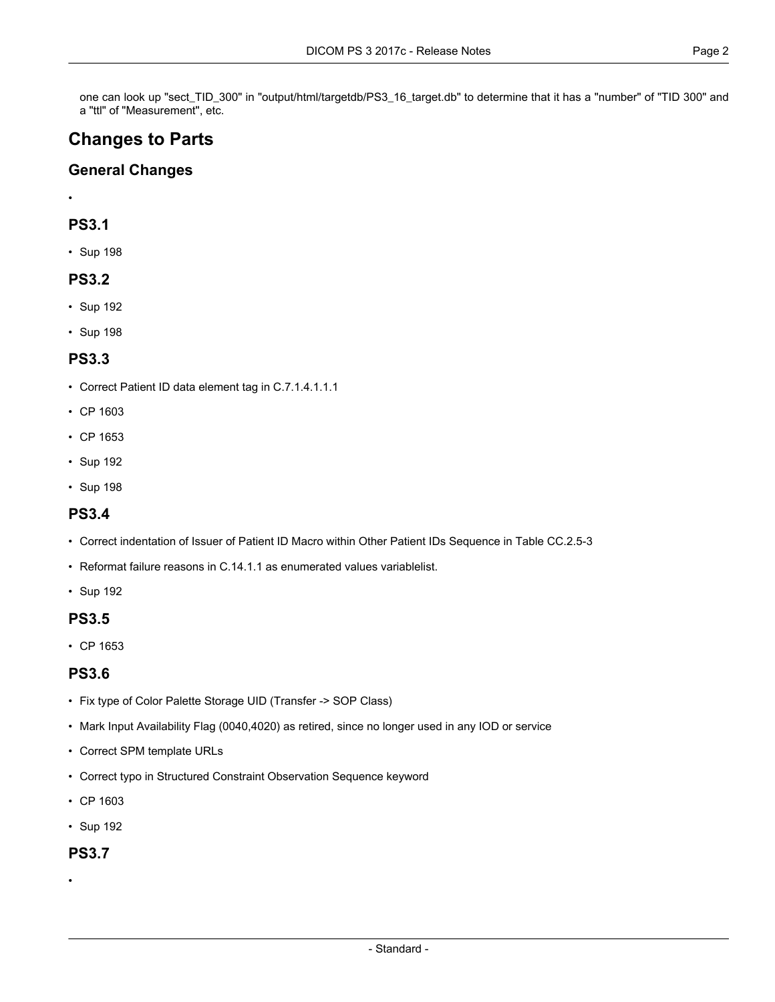one can look up "sect\_TID\_300" in "output/html/targetdb/PS3\_16\_target.db" to determine that it has a "number" of "TID 300" and a "ttl" of "Measurement", etc.

# **Changes to Parts**

#### **General Changes**

•

#### **PS3.1**

• [Sup](#page-3-0) 198

#### **PS3.2**

- [Sup](#page-3-1) 192
- [Sup](#page-3-0) 198

#### **PS3.3**

- Correct Patient ID data element tag in C.7.1.4.1.1.1
- CP [1603](#page-3-2)
- CP [1653](#page-3-3)
- [Sup](#page-3-1) 192
- [Sup](#page-3-0) 198

### **PS3.4**

- Correct indentation of Issuer of Patient ID Macro within Other Patient IDs Sequence in Table CC.2.5-3
- Reformat failure reasons in C.14.1.1 as enumerated values variablelist.
- [Sup](#page-3-1) 192

### **PS3.5**

• CP [1653](#page-3-3)

### **PS3.6**

- Fix type of Color Palette Storage UID (Transfer -> SOP Class)
- Mark Input Availability Flag (0040,4020) as retired, since no longer used in any IOD or service
- Correct SPM template URLs
- Correct typo in Structured Constraint Observation Sequence keyword
- CP [1603](#page-3-2)
- [Sup](#page-3-1) 192

#### **PS3.7**

•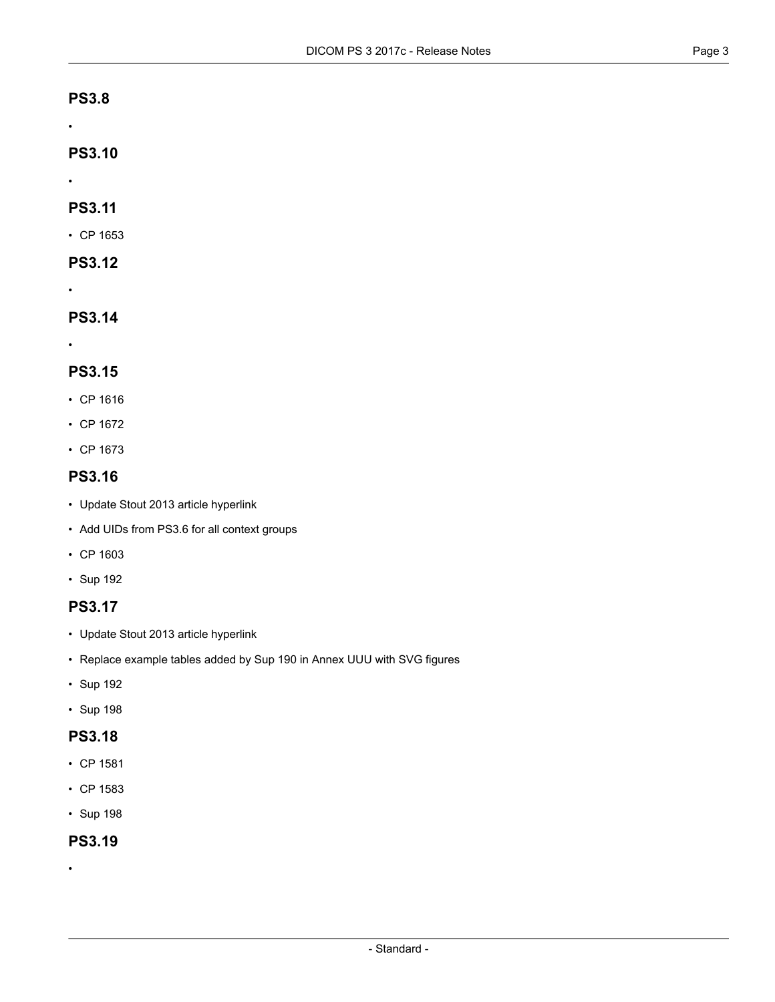#### **PS3.8**

•

### **PS3.10**

•

#### **PS3.11**

• CP [1653](#page-3-3)

### **PS3.12**

•

## **PS3.14**

•

#### **PS3.15**

- CP [1616](#page-3-4)
- CP [1672](#page-3-5)
- CP [1673](#page-3-6)

### **PS3.16**

- Update Stout 2013 article hyperlink
- Add UIDs from PS3.6 for all context groups
- CP [1603](#page-3-2)
- [Sup](#page-3-1) 192

### **PS3.17**

- Update Stout 2013 article hyperlink
- Replace example tables added by Sup 190 in Annex UUU with SVG figures
- [Sup](#page-3-1) 192
- [Sup](#page-3-0) 198

### **PS3.18**

- CP [1581](#page-3-7)
- CP [1583](#page-3-8)
- [Sup](#page-3-0) 198

### **PS3.19**

•